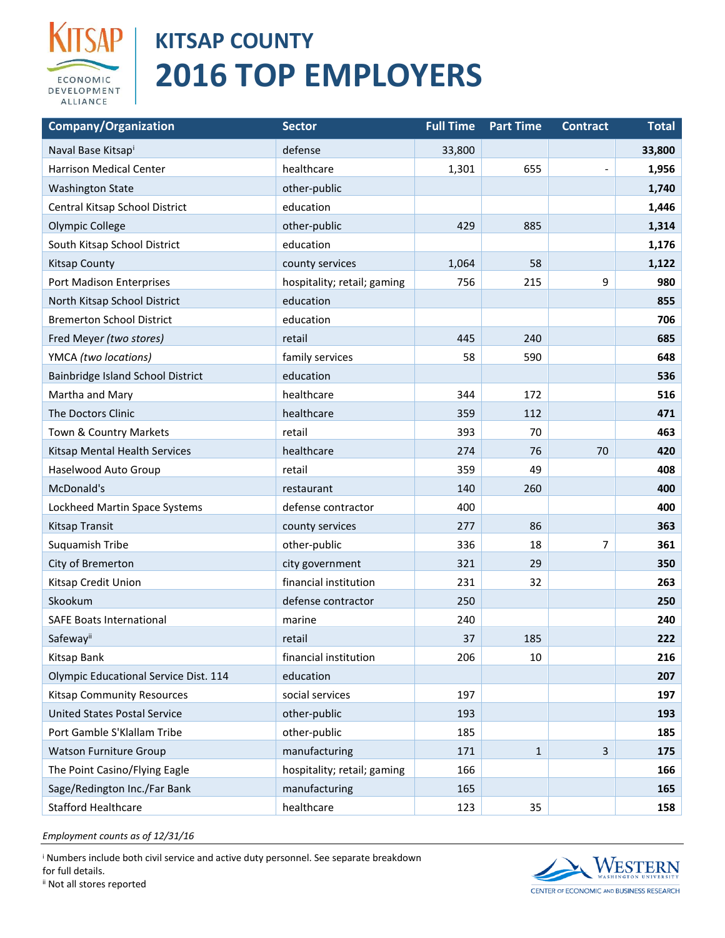

## **SAP | KITSAP COUNTY 2016 TOP EMPLOYERS**

| <b>Company/Organization</b>           | <b>Sector</b>               | <b>Full Time</b> | <b>Part Time</b> | <b>Contract</b> | <b>Total</b> |
|---------------------------------------|-----------------------------|------------------|------------------|-----------------|--------------|
| Naval Base Kitsapi                    | defense                     | 33,800           |                  |                 | 33,800       |
| <b>Harrison Medical Center</b>        | healthcare                  | 1,301            | 655              |                 | 1,956        |
| <b>Washington State</b>               | other-public                |                  |                  |                 | 1,740        |
| Central Kitsap School District        | education                   |                  |                  |                 | 1,446        |
| Olympic College                       | other-public                | 429              | 885              |                 | 1,314        |
| South Kitsap School District          | education                   |                  |                  |                 | 1,176        |
| <b>Kitsap County</b>                  | county services             | 1,064            | 58               |                 | 1,122        |
| Port Madison Enterprises              | hospitality; retail; gaming | 756              | 215              | 9               | 980          |
| North Kitsap School District          | education                   |                  |                  |                 | 855          |
| <b>Bremerton School District</b>      | education                   |                  |                  |                 | 706          |
| Fred Meyer (two stores)               | retail                      | 445              | 240              |                 | 685          |
| YMCA (two locations)                  | family services             | 58               | 590              |                 | 648          |
| Bainbridge Island School District     | education                   |                  |                  |                 | 536          |
| Martha and Mary                       | healthcare                  | 344              | 172              |                 | 516          |
| The Doctors Clinic                    | healthcare                  | 359              | 112              |                 | 471          |
| Town & Country Markets                | retail                      | 393              | 70               |                 | 463          |
| Kitsap Mental Health Services         | healthcare                  | 274              | 76               | 70              | 420          |
| Haselwood Auto Group                  | retail                      | 359              | 49               |                 | 408          |
| McDonald's                            | restaurant                  | 140              | 260              |                 | 400          |
| Lockheed Martin Space Systems         | defense contractor          | 400              |                  |                 | 400          |
| Kitsap Transit                        | county services             | 277              | 86               |                 | 363          |
| Suquamish Tribe                       | other-public                | 336              | 18               | 7               | 361          |
| City of Bremerton                     | city government             | 321              | 29               |                 | 350          |
| Kitsap Credit Union                   | financial institution       | 231              | 32               |                 | 263          |
| Skookum                               | defense contractor          | 250              |                  |                 | 250          |
| <b>SAFE Boats International</b>       | marine                      | 240              |                  |                 | 240          |
| Safewayii                             | retail                      | 37               | 185              |                 | 222          |
| Kitsap Bank                           | financial institution       | 206              | 10               |                 | 216          |
| Olympic Educational Service Dist. 114 | education                   |                  |                  |                 | 207          |
| <b>Kitsap Community Resources</b>     | social services             | 197              |                  |                 | 197          |
| <b>United States Postal Service</b>   | other-public                | 193              |                  |                 | 193          |
| Port Gamble S'Klallam Tribe           | other-public                | 185              |                  |                 | 185          |
| <b>Watson Furniture Group</b>         | manufacturing               | 171              | $\mathbf{1}$     | 3               | 175          |
| The Point Casino/Flying Eagle         | hospitality; retail; gaming | 166              |                  |                 | 166          |
| Sage/Redington Inc./Far Bank          | manufacturing               | 165              |                  |                 | 165          |
| <b>Stafford Healthcare</b>            | healthcare                  | 123              | 35               |                 | 158          |

*Employment counts as of 12/31/16*

<sup>i</sup> Numbers include both civil service and active duty personnel. See separate breakdown for full details.



ii Not all stores reported